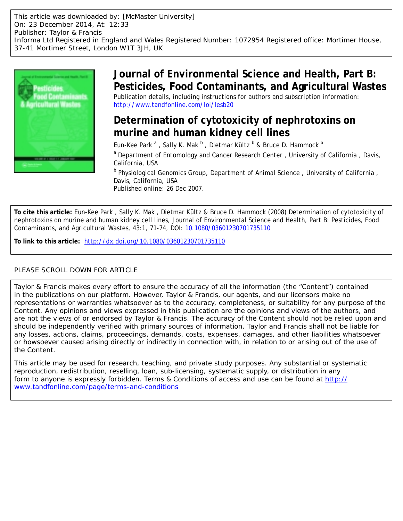This article was downloaded by: [McMaster University] On: 23 December 2014, At: 12:33 Publisher: Taylor & Francis Informa Ltd Registered in England and Wales Registered Number: 1072954 Registered office: Mortimer House, 37-41 Mortimer Street, London W1T 3JH, UK



## **Journal of Environmental Science and Health, Part B: Pesticides, Food Contaminants, and Agricultural Wastes** Publication details, including instructions for authors and subscription information:

<http://www.tandfonline.com/loi/lesb20>

## **Determination of cytotoxicity of nephrotoxins on murine and human kidney cell lines**

Eun-Kee Park  $^{\rm a}$  , Sally K. Mak  $^{\rm b}$  , Dietmar Kültz  $^{\rm b}$  & Bruce D. Hammock  $^{\rm a}$ 

<sup>a</sup> Department of Entomology and Cancer Research Center, University of California, Davis, California, USA

<sup>b</sup> Physiological Genomics Group, Department of Animal Science, University of California, Davis, California, USA

Published online: 26 Dec 2007.

**To cite this article:** Eun-Kee Park , Sally K. Mak , Dietmar Kültz & Bruce D. Hammock (2008) Determination of cytotoxicity of nephrotoxins on murine and human kidney cell lines, Journal of Environmental Science and Health, Part B: Pesticides, Food Contaminants, and Agricultural Wastes, 43:1, 71-74, DOI: [10.1080/03601230701735110](http://www.tandfonline.com/action/showCitFormats?doi=10.1080/03601230701735110)

**To link to this article:** <http://dx.doi.org/10.1080/03601230701735110>

### PLEASE SCROLL DOWN FOR ARTICLE

Taylor & Francis makes every effort to ensure the accuracy of all the information (the "Content") contained in the publications on our platform. However, Taylor & Francis, our agents, and our licensors make no representations or warranties whatsoever as to the accuracy, completeness, or suitability for any purpose of the Content. Any opinions and views expressed in this publication are the opinions and views of the authors, and are not the views of or endorsed by Taylor & Francis. The accuracy of the Content should not be relied upon and should be independently verified with primary sources of information. Taylor and Francis shall not be liable for any losses, actions, claims, proceedings, demands, costs, expenses, damages, and other liabilities whatsoever or howsoever caused arising directly or indirectly in connection with, in relation to or arising out of the use of the Content.

This article may be used for research, teaching, and private study purposes. Any substantial or systematic reproduction, redistribution, reselling, loan, sub-licensing, systematic supply, or distribution in any form to anyone is expressly forbidden. Terms & Conditions of access and use can be found at [http://](http://www.tandfonline.com/page/terms-and-conditions) [www.tandfonline.com/page/terms-and-conditions](http://www.tandfonline.com/page/terms-and-conditions)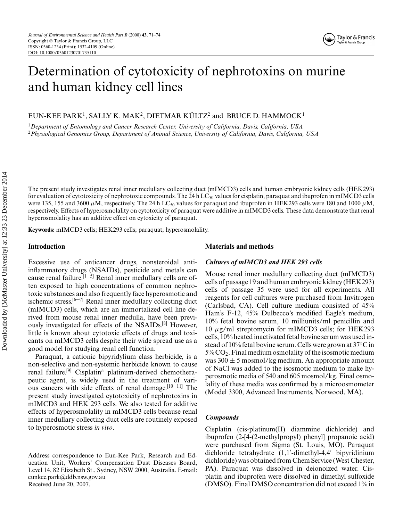# Determination of cytotoxicity of nephrotoxins on murine and human kidney cell lines

EUN-KEE PARK<sup>1</sup>, SALLY K. MAK<sup>2</sup>, DIETMAR KÜLTZ<sup>2</sup> and BRUCE D. HAMMOCK<sup>1</sup>

<sup>1</sup>*Department of Entomology and Cancer Research Center, University of California, Davis, California, USA* <sup>2</sup>*Physiological Genomics Group, Department of Animal Science, University of California, Davis, California, USA*

The present study investigates renal inner medullary collecting duct (mIMCD3) cells and human embryonic kidney cells (HEK293) for evaluation of cytotoxicity of nephrotoxic compounds. The 24 h LC<sub>50</sub> values for cisplatin, paraquat and ibuprofen in mIMCD3 cells were 135, 155 and 3600  $\mu$ M, respectively. The 24 h LC<sub>50</sub> values for paraquat and ibuprofen in HEK293 cells were 180 and 1000  $\mu$ M, respectively. Effects of hyperosmolality on cytotoxicity of paraquat were additive in mIMCD3 cells. These data demonstrate that renal hyperosmolality has an additive effect on cytoxicity of paraquat.

**Keywords:** mIMCD3 cells; HEK293 cells; paraquat; hyperosmolality.

#### **Introduction**

Excessive use of anticancer drugs, nonsteroidal antiinflammatory drugs (NSAIDs), pesticide and metals can cause renal failure.<sup>[1–5]</sup> Renal inner medullary cells are often exposed to high concentrations of common nephrotoxic substances and also frequently face hyperosmotic and ischemic stress. $[6-7]$  Renal inner medullary collecting duct (mIMCD3) cells, which are an immortalized cell line derived from mouse renal inner medulla, have been previously investigated for effects of the NSAIDs.[8] However, little is known about cytotoxic effects of drugs and toxicants on mIMCD3 cells despite their wide spread use as a good model for studying renal cell function.

Paraquat, a cationic bipyridylium class herbicide, is a non-selective and non-systemic herbicide known to cause renal failure.<sup>[9]</sup> Cisplatin<sup>a</sup> platinum-derived chemotherapeutic agent, is widely used in the treatment of various cancers with side effects of renal damage.<sup>[10–11]</sup> The present study investigated cytotoxicity of nephrotoxins in mIMCD3 and HEK 293 cells. We also tested for additive effects of hyperosmolality in mIMCD3 cells because renal inner medullary collecting duct cells are routinely exposed to hyperosmotic stress *in vivo*.

#### **Materials and methods**

#### *Cultures of mIMCD3 and HEK 293 cells*

Mouse renal inner medullary collecting duct (mIMCD3) cells of passage 19 and human embryonic kidney (HEK293) cells of passage 35 were used for all experiments. All reagents for cell cultures were purchased from Invitrogen (Carlsbad, CA). Cell culture medium consisted of 45% Ham's F-12, 45% Dulbecco's modified Eagle's medium, 10% fetal bovine serum, 10 milliunits/ml penicillin and 10 µg/ml streptomycin for mIMCD3 cells; for HEK293 cells, 10% heated inactivated fetal bovine serum was used instead of 10% fetal bovine serum. Cells were grown at 37◦C in  $5\%$  CO<sub>2</sub>. Final medium osmolality of the isosmotic medium was  $300 \pm 5$  mosmol/kg medium. An appropriate amount of NaCl was added to the isosmotic medium to make hyperosmotic media of 540 and 605 mosmol/kg. Final osmolality of these media was confirmed by a microosmometer (Model 3300, Advanced Instruments, Norwood, MA).

#### *Compounds*

Cisplatin (cis-platinum(II) diammine dichloride) and ibuprofen (2-[4-(2-methylpropyl) phenyl] propanoic acid) were purchased from Sigma (St. Louis, MO). Paraquat dichloride tetrahydrate (1,1 -dimethyl-4,4 bipyridinium dichloride) was obtained from Chem Service (West Chester, PA). Paraquat was dissolved in deionoized water. Cisplatin and ibuprofen were dissolved in dimethyl sulfoxide (DMSO). Final DMSO concentration did not exceed 1% in

Address correspondence to Eun-Kee Park, Research and Education Unit, Workers' Compensation Dust Diseases Board, Level 14, 82 Elizabeth St., Sydney, NSW 2000, Australia. E-mail: eunkee.park@ddb.nsw.gov.au Received June 20, 2007.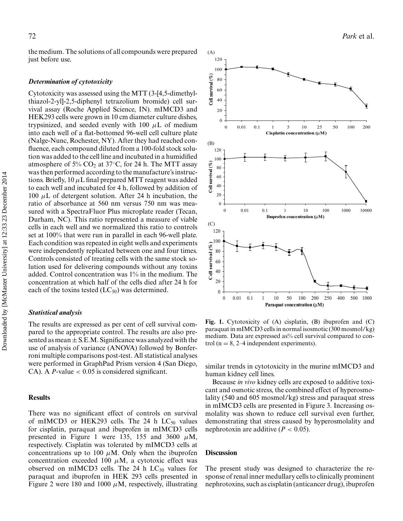the medium. The solutions of all compounds were prepared just before use.

#### *Determination of cytotoxicity*

Cytotoxicity was assessed using the MTT (3-[4,5-dimethylthiazol-2-yl]-2,5-diphenyl tetrazolium bromide) cell survival assay (Roche Applied Science, IN). mIMCD3 and HEK293 cells were grown in 10 cm diameter culture dishes, trypsinized, and seeded evenly with 100  $\mu$ L of medium into each well of a flat-bottomed 96-well cell culture plate (Nalge-Nunc, Rochester, NY). After they had reached confluence, each compound diluted from a 100-fold stock solution was added to the cell line and incubated in a humidified atmosphere of 5% CO<sub>2</sub> at 37 $\degree$ C, for 24 h. The MTT assay wasthen performed according to the manufacture's instructions. Briefly,  $10 \mu L$  final prepared MTT reagent was added to each well and incubated for 4 h, followed by addition of 100  $\mu$ L of detergent solution. After 24 h incubation, the ratio of absorbance at 560 nm versus 750 nm was measured with a SpectraFluor Plus microplate reader (Tecan, Durham, NC). This ratio represented a measure of viable cells in each well and we normalized this ratio to controls set at 100% that were run in parallel in each 96-well plate. Each condition was repeated in eight wells and experiments were independently replicated between one and four times. Controls consisted of treating cells with the same stock solution used for delivering compounds without any toxins added. Control concentration was 1% in the medium. The concentration at which half of the cells died after 24 h for each of the toxins tested  $(LC_{50})$  was determined.

#### *Statistical analysis*

The results are expressed as per cent of cell survival compared to the appropriate control. The results are also presented as mean  $\pm$  S.E.M. Significance was analyzed with the use of analysis of variance (ANOVA) followed by Bonferroni multiple comparisons post-test. All statistical analyses were performed in GraphPad Prism version 4 (San Diego, CA). A *P*-value  $< 0.05$  is considered significant.

#### **Results**

There was no significant effect of controls on survival of mIMCD3 or HEK293 cells. The 24 h  $LC_{50}$  values for cisplatin, paraquat and ibuprofen in mIMCD3 cells presented in Figure 1 were 135, 155 and 3600  $\mu$ M, respectively. Cisplatin was tolerated by mIMCD3 cells at concentrations up to 100  $\mu$ M. Only when the ibuprofen concentration exceeded 100  $\mu$ M, a cytotoxic effect was observed on mIMCD3 cells. The 24 h  $LC_{50}$  values for paraquat and ibuprofen in HEK 293 cells presented in Figure 2 were 180 and 1000  $\mu$ M, respectively, illustrating



**Fig. 1.** Cytotoxicity of (A) cisplatin, (B) ibuprofen and (C) paraquat in mIMCD3 cells in normal isosmotic (300 mosmol/kg) medium. Data are expressed as% cell survival compared to control ( $n = 8$ , 2–4 independent experiments).

similar trends in cytotoxicity in the murine mIMCD3 and human kidney cell lines.

Because *in vivo* kidney cells are exposed to additive toxicant and osmotic stress, the combined effect of hyperosmolality (540 and 605 mosmol/kg) stress and paraquat stress in mIMCD3 cells are presented in Figure 3. Increasing osmolality was shown to reduce cell survival even further, demonstrating that stress caused by hyperosmolality and nephrotoxin are additive  $(P < 0.05)$ .

#### **Discussion**

The present study was designed to characterize the response of renal inner medullary cells to clinically prominent nephrotoxins, such as cisplatin (anticancer drug), ibuprofen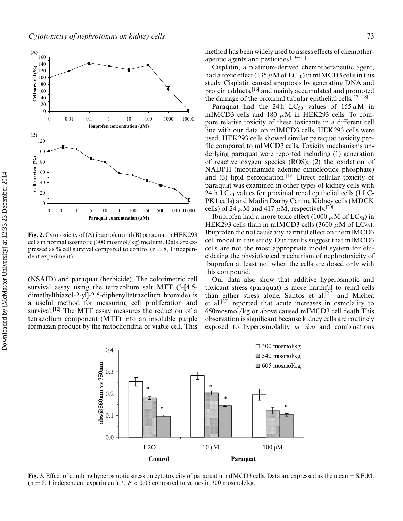

**Fig. 2.** Cytotoxicity of (A) ibuprofen and (B) paraquat in HEK293 cells in normal isosmotic (300 mosmol/kg) medium. Data are expressed as % cell survival compared to control  $(n = 8, 1)$  independent experiment).

(NSAID) and paraquat (herbicide). The colorimetric cell survival assay using the tetrazolium salt MTT (3-[4,5 dimethylthiazol-2-yl]-2,5-diphenyltetrazolium bromide) is a useful method for measuring cell proliferation and survival.<sup>[12]</sup> The MTT assay measures the reduction of a tetrazolium component (MTT) into an insoluble purple formazan product by the mitochondria of viable cell. This method has been widely used to assess effects of chemotherapeutic agents and pesticides.[13–15]

Cisplatin, a platinum-derived chemotherapeutic agent, had a toxic effect (135  $\mu$ M of LC<sub>50</sub>) in mIMCD3 cells in this study. Cisplatin caused apoptosis by generating DNA and protein adducts,[16] and mainly accumulated and promoted the damage of the proximal tubular epithelial cells.<sup>[17–18]</sup>

Paraquat had the 24 h LC<sub>50</sub> values of  $155 \mu M$  in mIMCD3 cells and 180  $\mu$ M in HEK293 cells. To compare relative toxicity of these toxicants in a different cell line with our data on mIMCD3 cells, HEK293 cells were used. HEK293 cells showed similar paraquat toxicity profile compared to mIMCD3 cells. Toxicity mechanisms underlying paraquat were reported including (1) generation of reactive oxygen species (ROS); (2) the oxidation of NADPH (nicotinamide adenine dinucleotide phosphate) and (3) lipid peroxidation.<sup>[19]</sup> Direct cellular toxicity of paraquat was examined in other types of kidney cells with 24 h  $LC_{50}$  values for proximal renal epithelial cells (LLC-PK1 cells) and Madin Darby Canine Kidney cells (MDCK cells) of 24  $\mu$ M and 417  $\mu$ M, respectively.<sup>[20]</sup>

Ibuprofen had a more toxic effect (1000  $\mu$ M of LC<sub>50</sub>) in HEK293 cells than in mIMCD3 cells (3600  $\mu$ M of LC<sub>50</sub>). Ibuprofen did not cause any harmful effect on the mIMCD3 cell model in this study. Our results suggest that mIMCD3 cells are not the most appropriate model system for elucidating the physiological mechanism of nephrotoxicity of ibuprofen at least not when the cells are dosed only with this compound.

Our data also show that additive hyperosmotic and toxicant stress (paraquat) is more harmful to renal cells than either stress alone. Santos et al.<sup>[21]</sup> and Michea et al.<sup>[22]</sup> reported that acute increases in osmolality to 650mosmol/kg or above caused mIMCD3 cell death This observation is significant because kidney cells are routinely exposed to hyperosmolality *in vivo* and combinations



**Fig. 3.** Effect of combing hyperosmotic stress on cytotoxicity of paraquat in mIMCD3 cells. Data are expressed as the mean ± S.E.M.  $(n = 8, 1$  independent experiment). \*,  $P < 0.05$  compared to values in 300 mosmol/kg.